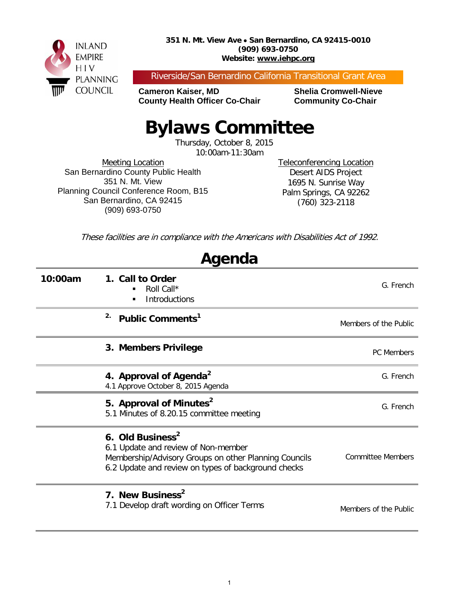

Riverside/San Bernardino California Transitional Grant Area

**Cameron Kaiser, MD Shelia Cromwell-Nieve County Health Officer Co-Chair Community Co-Chair** 

## **Bylaws Committee**

Thursday, October 8, 2015 10:00am-11:30am

Meeting Location San Bernardino County Public Health 351 N. Mt. View Planning Council Conference Room, B15 San Bernardino, CA 92415 (909) 693-0750

Teleconferencing Location Desert AIDS Project 1695 N. Sunrise Way Palm Springs, CA 92262 (760) 323-2118

These facilities are in compliance with the Americans with Disabilities Act of 1992.

| Agenda  |                                                                                                                                                                                     |                          |  |  |
|---------|-------------------------------------------------------------------------------------------------------------------------------------------------------------------------------------|--------------------------|--|--|
| 10:00am | 1. Call to Order<br>Roll Call*<br>Introductions<br>٠                                                                                                                                | G. French                |  |  |
|         | 2.<br>Public Comments <sup>1</sup>                                                                                                                                                  | Members of the Public    |  |  |
|         | 3. Members Privilege                                                                                                                                                                | PC Members               |  |  |
|         | 4. Approval of Agenda <sup>2</sup><br>4.1 Approve October 8, 2015 Agenda                                                                                                            | G. French                |  |  |
|         | 5. Approval of Minutes <sup>2</sup><br>5.1 Minutes of 8.20.15 committee meeting                                                                                                     | G. French                |  |  |
|         | 6. Old Business <sup>2</sup><br>6.1 Update and review of Non-member<br>Membership/Advisory Groups on other Planning Councils<br>6.2 Update and review on types of background checks | <b>Committee Members</b> |  |  |
|         | 7. New Business <sup>2</sup><br>7.1 Develop draft wording on Officer Terms                                                                                                          | Members of the Public    |  |  |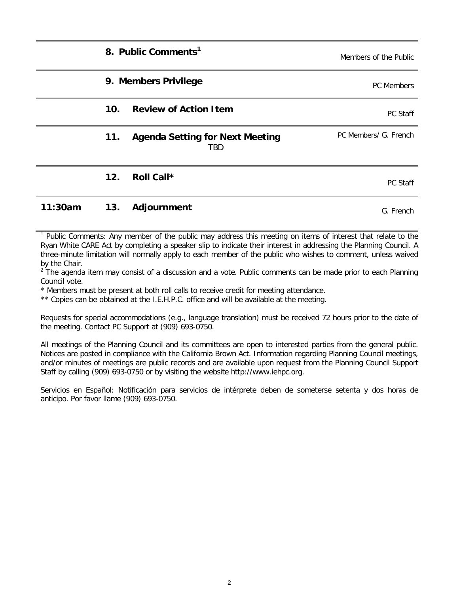|         |                 | 8. Public Comments <sup>1</sup>               | Members of the Public |
|---------|-----------------|-----------------------------------------------|-----------------------|
|         |                 | 9. Members Privilege                          | <b>PC</b> Members     |
|         | 10 <sub>1</sub> | <b>Review of Action Item</b>                  | <b>PC Staff</b>       |
|         | 11.             | <b>Agenda Setting for Next Meeting</b><br>TBD | PC Members/ G. French |
|         | 12.             | Roll Call*                                    | PC Staff              |
| 11:30am | 13.             | Adjournment                                   | G. French             |

<sup>1</sup> Public Comments: Any member of the public may address this meeting on items of interest that relate to the Ryan White CARE Act by completing a speaker slip to indicate their interest in addressing the Planning Council. A three-minute limitation will normally apply to each member of the public who wishes to comment, unless waived by the Chair.

 $2\degree$  The agenda item may consist of a discussion and a vote. Public comments can be made prior to each Planning Council vote.

\* Members must be present at both roll calls to receive credit for meeting attendance.

\*\* Copies can be obtained at the I.E.H.P.C. office and will be available at the meeting.

Requests for special accommodations (e.g., language translation) must be received 72 hours prior to the date of the meeting. Contact PC Support at (909) 693-0750.

All meetings of the Planning Council and its committees are open to interested parties from the general public. Notices are posted in compliance with the California Brown Act. Information regarding Planning Council meetings, and/or minutes of meetings are public records and are available upon request from the Planning Council Support Staff by calling (909) 693-0750 or by visiting the website http://www.iehpc.org.

Servicios en Español: Notificación para servicios de intérprete deben de someterse setenta y dos horas de anticipo. Por favor llame (909) 693-0750.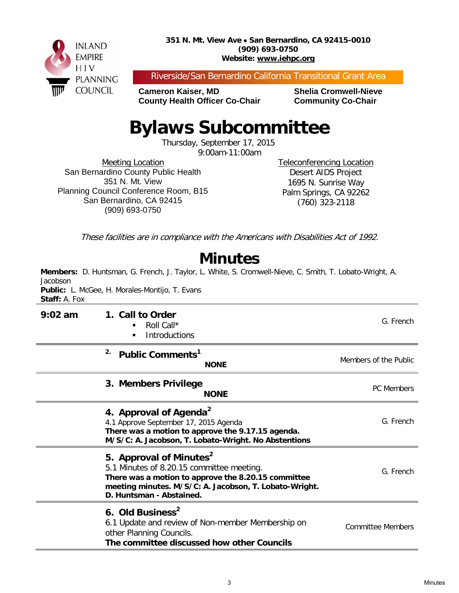

Riverside/San Bernardino California Transitional Grant Area

**Cameron Kaiser, MD Shelia Cromwell-Nieve County Health Officer Co-Chair Community Co-Chair**

## **Bylaws Subcommittee**

Thursday, September 17, 2015 9:00am-11:00am

Meeting Location San Bernardino County Public Health 351 N. Mt. View Planning Council Conference Room, B15 San Bernardino, CA 92415 (909) 693-0750

Teleconferencing Location Desert AIDS Project 1695 N. Sunrise Way Palm Springs, CA 92262 (760) 323-2118

These facilities are in compliance with the Americans with Disabilities Act of 1992.

## **Minutes**

**Members:** D. Huntsman, G. French, J. Taylor, L. White, S. Cromwell-Nieve, C. Smith, T. Lobato-Wright, A. Jacobson

**Public:** L. McGee, H. Morales-Montijo, T. Evans **Staff:** A. Fox

| $9:02$ am | 1. Call to Order<br>Roll Call*<br>$\blacksquare$<br><b>Introductions</b><br>٠                                                                                                                                                 | G. French                |
|-----------|-------------------------------------------------------------------------------------------------------------------------------------------------------------------------------------------------------------------------------|--------------------------|
|           | 2.<br>Public Comments <sup>1</sup><br><b>NONE</b>                                                                                                                                                                             | Members of the Public    |
|           | 3. Members Privilege<br><b>NONE</b>                                                                                                                                                                                           | PC Members               |
|           | 4. Approval of Agenda <sup>2</sup><br>4.1 Approve September 17, 2015 Agenda<br>There was a motion to approve the 9.17.15 agenda.<br>M/S/C: A. Jacobson, T. Lobato-Wright. No Abstentions                                      | G. French                |
|           | 5. Approval of Minutes <sup>2</sup><br>5.1 Minutes of 8.20.15 committee meeting.<br>There was a motion to approve the 8.20.15 committee<br>meeting minutes. M/S/C: A. Jacobson, T. Lobato-Wright.<br>D. Huntsman - Abstained. | G. French                |
|           | 6. Old Business <sup>2</sup><br>6.1 Update and review of Non-member Membership on<br>other Planning Councils.<br>The committee discussed how other Councils                                                                   | <b>Committee Members</b> |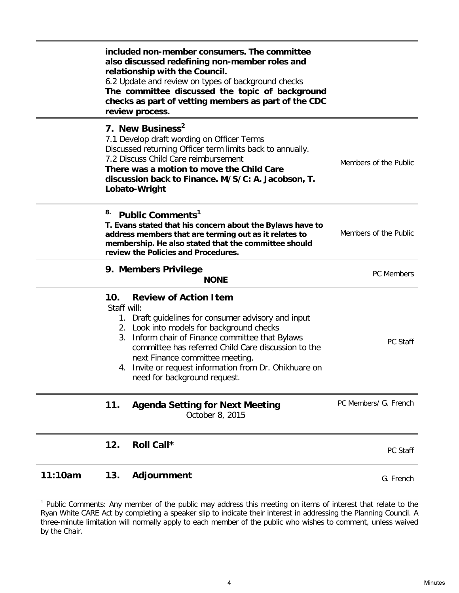|         |                          | included non-member consumers. The committee<br>also discussed redefining non-member roles and<br>relationship with the Council.<br>6.2 Update and review on types of background checks<br>The committee discussed the topic of background<br>checks as part of vetting members as part of the CDC<br>review process.                                                 |                       |
|---------|--------------------------|-----------------------------------------------------------------------------------------------------------------------------------------------------------------------------------------------------------------------------------------------------------------------------------------------------------------------------------------------------------------------|-----------------------|
|         |                          | 7. New Business <sup>2</sup><br>7.1 Develop draft wording on Officer Terms<br>Discussed returning Officer term limits back to annually.<br>7.2 Discuss Child Care reimbursement<br>There was a motion to move the Child Care<br>discussion back to Finance. M/S/C: A. Jacobson, T.<br>Lobato-Wright                                                                   | Members of the Public |
|         | 8.                       | Public Comments <sup>1</sup><br>T. Evans stated that his concern about the Bylaws have to<br>address members that are terming out as it relates to<br>membership. He also stated that the committee should<br>review the Policies and Procedures.                                                                                                                     | Members of the Public |
|         |                          | 9. Members Privilege<br><b>NONE</b>                                                                                                                                                                                                                                                                                                                                   | PC Members            |
|         | 10.<br>Staff will:<br>4. | <b>Review of Action Item</b><br>1. Draft guidelines for consumer advisory and input<br>2. Look into models for background checks<br>3. Inform chair of Finance committee that Bylaws<br>committee has referred Child Care discussion to the<br>next Finance committee meeting.<br>Invite or request information from Dr. Ohikhuare on<br>need for background request. | PC Staff              |
|         | 11.                      | <b>Agenda Setting for Next Meeting</b><br>October 8, 2015                                                                                                                                                                                                                                                                                                             | PC Members/ G. French |
|         | 12.                      | Roll Call*                                                                                                                                                                                                                                                                                                                                                            | PC Staff              |
| 11:10am | 13.                      | Adjournment                                                                                                                                                                                                                                                                                                                                                           | G. French             |

<sup>1</sup> Public Comments: Any member of the public may address this meeting on items of interest that relate to the Ryan White CARE Act by completing a speaker slip to indicate their interest in addressing the Planning Council. A three-minute limitation will normally apply to each member of the public who wishes to comment, unless waived by the Chair.